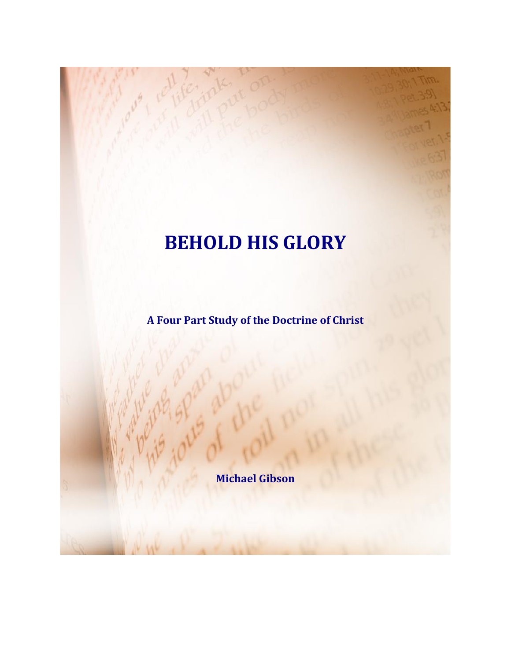# **BEHOLD HIS GLORY**

**A Four Part Study of the Doctrine of Christ**

**Michael Gibson**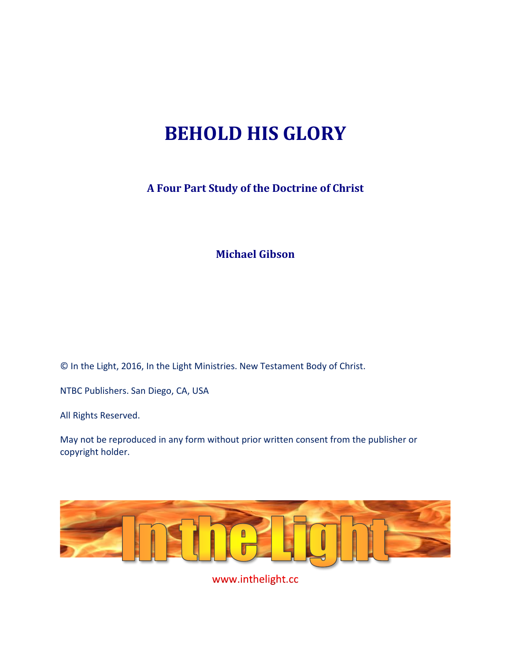## **BEHOLD HIS GLORY**

**A Four Part Study of the Doctrine of Christ**

**Michael Gibson**

© In the Light, 2016, In the Light Ministries. New Testament Body of Christ.

NTBC Publishers. San Diego, CA, USA

All Rights Reserved.

May not be reproduced in any form without prior written consent from the publisher or copyright holder.



www.inthelight.cc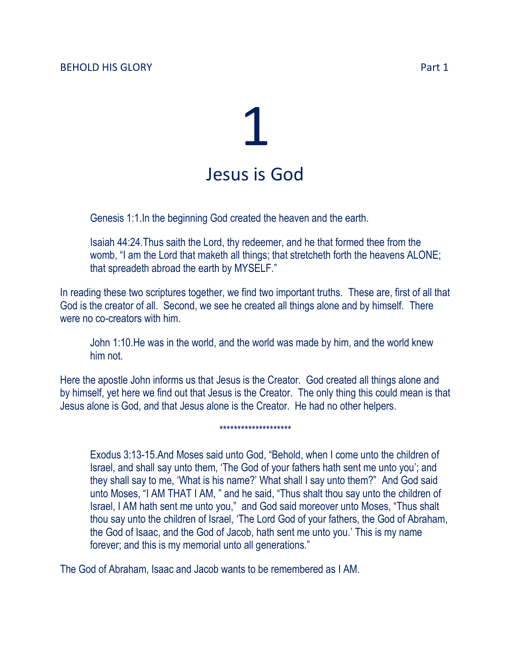

Genesis 1:1.In the beginning God created the heaven and the earth.

Isaiah 44:24.Thus saith the Lord, thy redeemer, and he that formed thee from the womb, "I am the Lord that maketh all things; that stretcheth forth the heavens ALONE; that spreadeth abroad the earth by MYSELF."

In reading these two scriptures together, we find two important truths. These are, first of all that God is the creator of all. Second, we see he created all things alone and by himself. There were no co-creators with him.

John 1:10.He was in the world, and the world was made by him, and the world knew him not.

Here the apostle John informs us that Jesus is the Creator. God created all things alone and by himself, yet here we find out that Jesus is the Creator. The only thing this could mean is that Jesus alone is God, and that Jesus alone is the Creator. He had no other helpers.

#### \*\*\*\*\*\*\*\*\*\*\*\*\*\*\*\*\*\*\*\*

Exodus 3:13-15.And Moses said unto God, "Behold, when I come unto the children of Israel, and shall say unto them, 'The God of your fathers hath sent me unto you'; and they shall say to me, 'What is his name?' What shall I say unto them?" And God said unto Moses, "I AM THAT I AM, " and he said, "Thus shalt thou say unto the children of Israel, I AM hath sent me unto you," and God said moreover unto Moses, "Thus shalt thou say unto the children of Israel, 'The Lord God of your fathers, the God of Abraham, the God of Isaac, and the God of Jacob, hath sent me unto you.' This is my name forever; and this is my memorial unto all generations."

The God of Abraham, Isaac and Jacob wants to be remembered as I AM.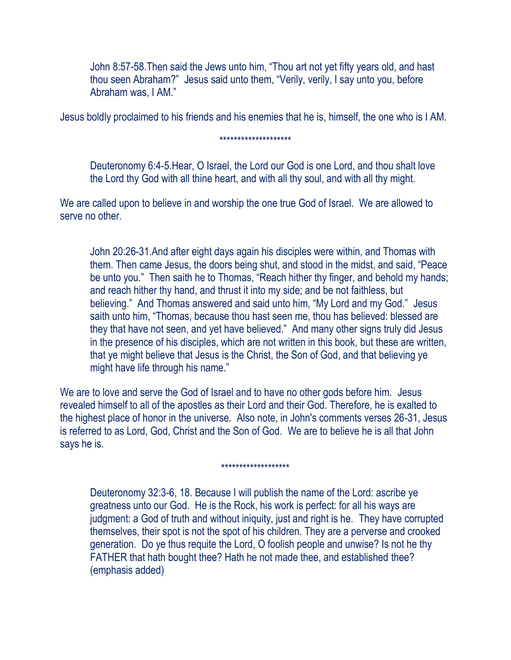John 8:57-58.Then said the Jews unto him, "Thou art not yet fifty years old, and hast thou seen Abraham?" Jesus said unto them, "Verily, verily, I say unto you, before Abraham was, I AM."

Jesus boldly proclaimed to his friends and his enemies that he is, himself, the one who is I AM.

### \*\*\*\*\*\*\*\*\*\*\*\*\*\*\*\*\*\*\*\*

Deuteronomy 6:4-5.Hear, O Israel, the Lord our God is one Lord, and thou shalt love the Lord thy God with all thine heart, and with all thy soul, and with all thy might.

We are called upon to believe in and worship the one true God of Israel. We are allowed to serve no other.

John 20:26-31.And after eight days again his disciples were within, and Thomas with them. Then came Jesus, the doors being shut, and stood in the midst, and said, "Peace be unto you." Then saith he to Thomas, "Reach hither thy finger, and behold my hands; and reach hither thy hand, and thrust it into my side; and be not faithless, but believing." And Thomas answered and said unto him, "My Lord and my God." Jesus saith unto him, "Thomas, because thou hast seen me, thou has believed: blessed are they that have not seen, and yet have believed." And many other signs truly did Jesus in the presence of his disciples, which are not written in this book, but these are written, that ye might believe that Jesus is the Christ, the Son of God, and that believing ye might have life through his name."

We are to love and serve the God of Israel and to have no other gods before him. Jesus revealed himself to all of the apostles as their Lord and their God. Therefore, he is exalted to the highest place of honor in the universe. Also note, in John's comments verses 26-31, Jesus is referred to as Lord, God, Christ and the Son of God. We are to believe he is all that John says he is.

### \*\*\*\*\*\*\*\*\*\*\*\*\*\*\*\*\*\*\*

Deuteronomy 32:3-6, 18. Because I will publish the name of the Lord: ascribe ye greatness unto our God. He is the Rock, his work is perfect: for all his ways are judgment: a God of truth and without iniquity, just and right is he. They have corrupted themselves, their spot is not the spot of his children. They are a perverse and crooked generation. Do ye thus requite the Lord, O foolish people and unwise? Is not he thy FATHER that hath bought thee? Hath he not made thee, and established thee? (emphasis added)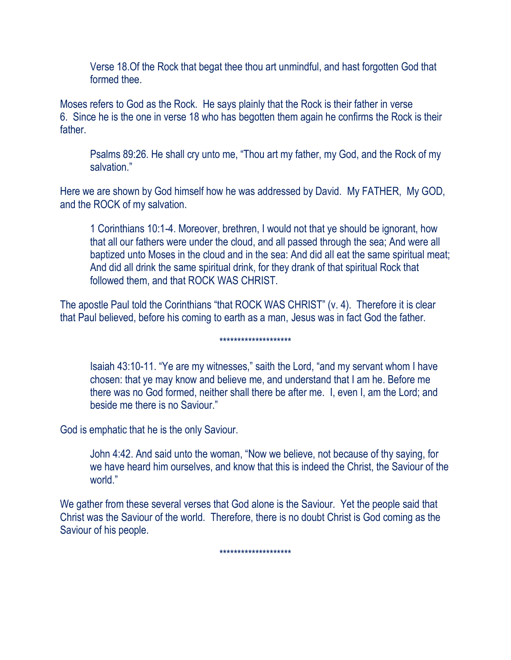Verse 18.Of the Rock that begat thee thou art unmindful, and hast forgotten God that formed thee.

Moses refers to God as the Rock. He says plainly that the Rock is their father in verse 6. Since he is the one in verse 18 who has begotten them again he confirms the Rock is their father.

Psalms 89:26. He shall cry unto me, "Thou art my father, my God, and the Rock of my salvation."

Here we are shown by God himself how he was addressed by David. My FATHER, My GOD, and the ROCK of my salvation.

1 Corinthians 10:1-4. Moreover, brethren, I would not that ye should be ignorant, how that all our fathers were under the cloud, and all passed through the sea; And were all baptized unto Moses in the cloud and in the sea: And did all eat the same spiritual meat; And did all drink the same spiritual drink, for they drank of that spiritual Rock that followed them, and that ROCK WAS CHRIST.

The apostle Paul told the Corinthians "that ROCK WAS CHRIST" (v. 4). Therefore it is clear that Paul believed, before his coming to earth as a man, Jesus was in fact God the father.

### \*\*\*\*\*\*\*\*\*\*\*\*\*\*\*\*\*\*\*\*

Isaiah 43:10-11. "Ye are my witnesses," saith the Lord, "and my servant whom I have chosen: that ye may know and believe me, and understand that I am he. Before me there was no God formed, neither shall there be after me. I, even I, am the Lord; and beside me there is no Saviour."

God is emphatic that he is the only Saviour.

John 4:42. And said unto the woman, "Now we believe, not because of thy saying, for we have heard him ourselves, and know that this is indeed the Christ, the Saviour of the world."

We gather from these several verses that God alone is the Saviour. Yet the people said that Christ was the Saviour of the world. Therefore, there is no doubt Christ is God coming as the Saviour of his people.

\*\*\*\*\*\*\*\*\*\*\*\*\*\*\*\*\*\*\*\*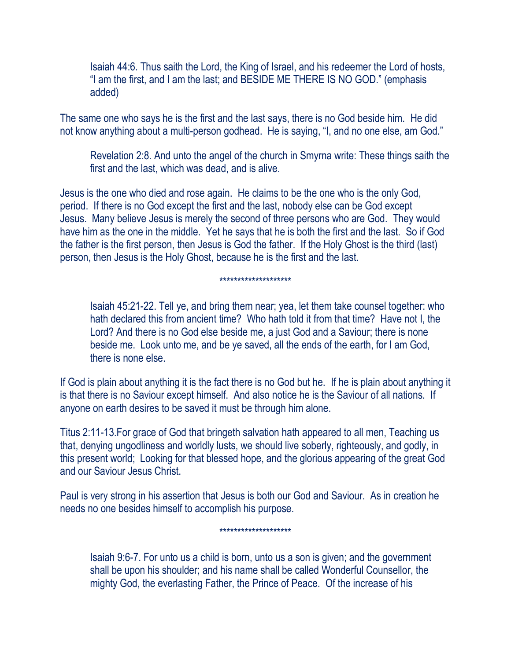Isaiah 44:6. Thus saith the Lord, the King of Israel, and his redeemer the Lord of hosts, "I am the first, and I am the last; and BESIDE ME THERE IS NO GOD." (emphasis added)

The same one who says he is the first and the last says, there is no God beside him. He did not know anything about a multi-person godhead. He is saying, "I, and no one else, am God."

Revelation 2:8. And unto the angel of the church in Smyrna write: These things saith the first and the last, which was dead, and is alive.

Jesus is the one who died and rose again. He claims to be the one who is the only God, period. If there is no God except the first and the last, nobody else can be God except Jesus. Many believe Jesus is merely the second of three persons who are God. They would have him as the one in the middle. Yet he says that he is both the first and the last. So if God the father is the first person, then Jesus is God the father. If the Holy Ghost is the third (last) person, then Jesus is the Holy Ghost, because he is the first and the last.

### \*\*\*\*\*\*\*\*\*\*\*\*\*\*\*\*\*\*\*\*

Isaiah 45:21-22. Tell ye, and bring them near; yea, let them take counsel together: who hath declared this from ancient time? Who hath told it from that time? Have not I, the Lord? And there is no God else beside me, a just God and a Saviour; there is none beside me. Look unto me, and be ye saved, all the ends of the earth, for I am God, there is none else.

If God is plain about anything it is the fact there is no God but he. If he is plain about anything it is that there is no Saviour except himself. And also notice he is the Saviour of all nations. If anyone on earth desires to be saved it must be through him alone.

Titus 2:11-13.For grace of God that bringeth salvation hath appeared to all men, Teaching us that, denying ungodliness and worldly lusts, we should live soberly, righteously, and godly, in this present world; Looking for that blessed hope, and the glorious appearing of the great God and our Saviour Jesus Christ.

Paul is very strong in his assertion that Jesus is both our God and Saviour. As in creation he needs no one besides himself to accomplish his purpose.

### \*\*\*\*\*\*\*\*\*\*\*\*\*\*\*\*\*\*\*\*

Isaiah 9:6-7. For unto us a child is born, unto us a son is given; and the government shall be upon his shoulder; and his name shall be called Wonderful Counsellor, the mighty God, the everlasting Father, the Prince of Peace. Of the increase of his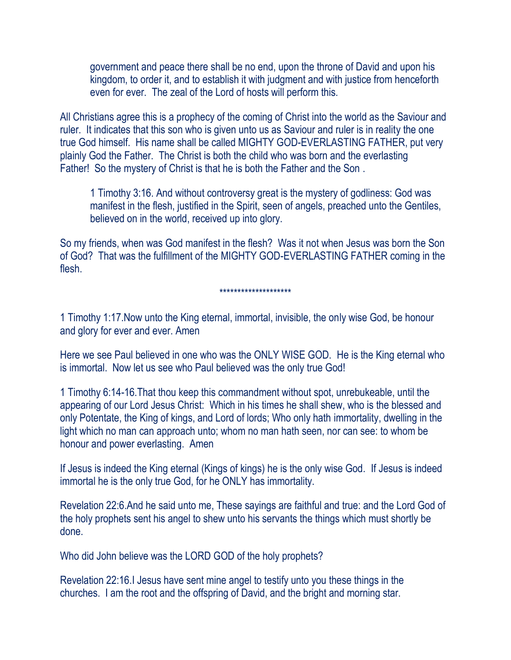government and peace there shall be no end, upon the throne of David and upon his kingdom, to order it, and to establish it with judgment and with justice from henceforth even for ever. The zeal of the Lord of hosts will perform this.

All Christians agree this is a prophecy of the coming of Christ into the world as the Saviour and ruler. It indicates that this son who is given unto us as Saviour and ruler is in reality the one true God himself. His name shall be called MIGHTY GOD-EVERLASTING FATHER, put very plainly God the Father. The Christ is both the child who was born and the everlasting Father! So the mystery of Christ is that he is both the Father and the Son .

1 Timothy 3:16. And without controversy great is the mystery of godliness: God was manifest in the flesh, justified in the Spirit, seen of angels, preached unto the Gentiles, believed on in the world, received up into glory.

So my friends, when was God manifest in the flesh? Was it not when Jesus was born the Son of God? That was the fulfillment of the MIGHTY GOD-EVERLASTING FATHER coming in the flesh.

### \*\*\*\*\*\*\*\*\*\*\*\*\*\*\*\*\*\*\*\*\*\*\*\*\*\*\*\*\*\*\*\*\*\*\*\*

1 Timothy 1:17.Now unto the King eternal, immortal, invisible, the only wise God, be honour and glory for ever and ever. Amen

Here we see Paul believed in one who was the ONLY WISE GOD. He is the King eternal who is immortal. Now let us see who Paul believed was the only true God!

1 Timothy 6:14-16.That thou keep this commandment without spot, unrebukeable, until the appearing of our Lord Jesus Christ: Which in his times he shall shew, who is the blessed and only Potentate, the King of kings, and Lord of lords; Who only hath immortality, dwelling in the light which no man can approach unto; whom no man hath seen, nor can see: to whom be honour and power everlasting. Amen

If Jesus is indeed the King eternal (Kings of kings) he is the only wise God. If Jesus is indeed immortal he is the only true God, for he ONLY has immortality.

Revelation 22:6.And he said unto me, These sayings are faithful and true: and the Lord God of the holy prophets sent his angel to shew unto his servants the things which must shortly be done.

Who did John believe was the LORD GOD of the holy prophets?

Revelation 22:16.I Jesus have sent mine angel to testify unto you these things in the churches. I am the root and the offspring of David, and the bright and morning star.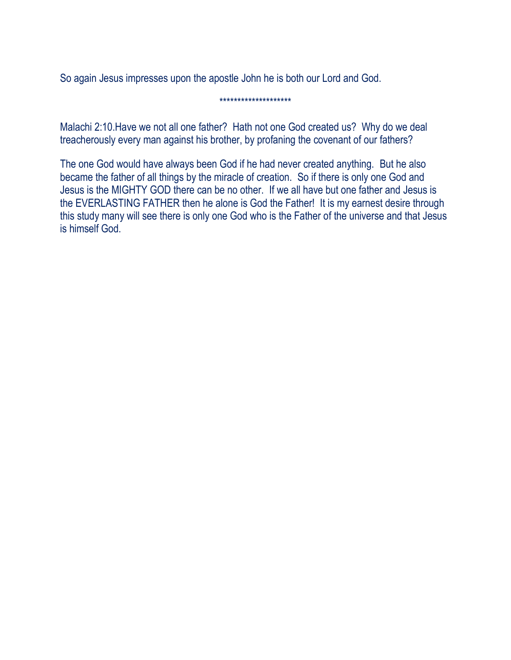So again Jesus impresses upon the apostle John he is both our Lord and God.

### \*\*\*\*\*\*\*\*\*\*\*\*\*\*\*\*\*\*\*\*

Malachi 2:10.Have we not all one father? Hath not one God created us? Why do we deal treacherously every man against his brother, by profaning the covenant of our fathers?

The one God would have always been God if he had never created anything. But he also became the father of all things by the miracle of creation. So if there is only one God and Jesus is the MIGHTY GOD there can be no other. If we all have but one father and Jesus is the EVERLASTING FATHER then he alone is God the Father! It is my earnest desire through this study many will see there is only one God who is the Father of the universe and that Jesus is himself God.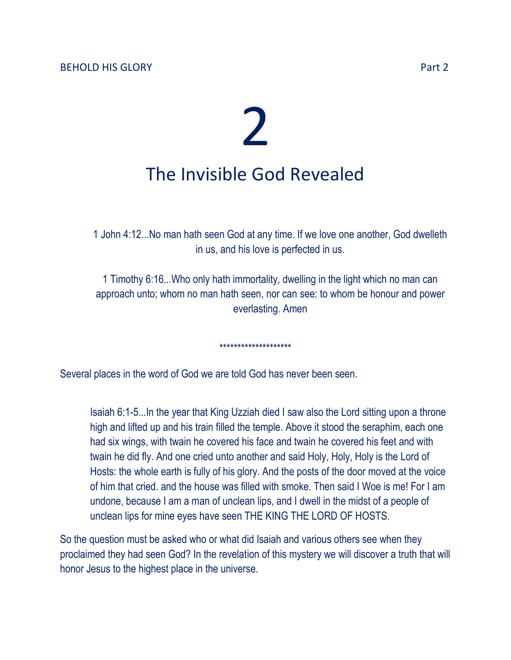# 2 The Invisible God Revealed

1 John 4:12...No man hath seen God at any time. If we love one another, God dwelleth in us, and his love is perfected in us.

1 Timothy 6:16...Who only hath immortality, dwelling in the light which no man can approach unto; whom no man hath seen, nor can see: to whom be honour and power everlasting. Amen

\*\*\*\*\*\*\*\*\*\*\*\*\*\*\*\*\*\*\*\*

Several places in the word of God we are told God has never been seen.

Isaiah 6:1-5...In the year that King Uzziah died I saw also the Lord sitting upon a throne high and lifted up and his train filled the temple. Above it stood the seraphim, each one had six wings, with twain he covered his face and twain he covered his feet and with twain he did fly. And one cried unto another and said Holy, Holy, Holy is the Lord of Hosts: the whole earth is fully of his glory. And the posts of the door moved at the voice of him that cried. and the house was filled with smoke. Then said I Woe is me! For I am undone, because I am a man of unclean lips, and I dwell in the midst of a people of unclean lips for mine eyes have seen THE KING THE LORD OF HOSTS.

So the question must be asked who or what did Isaiah and various others see when they proclaimed they had seen God? In the revelation of this mystery we will discover a truth that will honor Jesus to the highest place in the universe.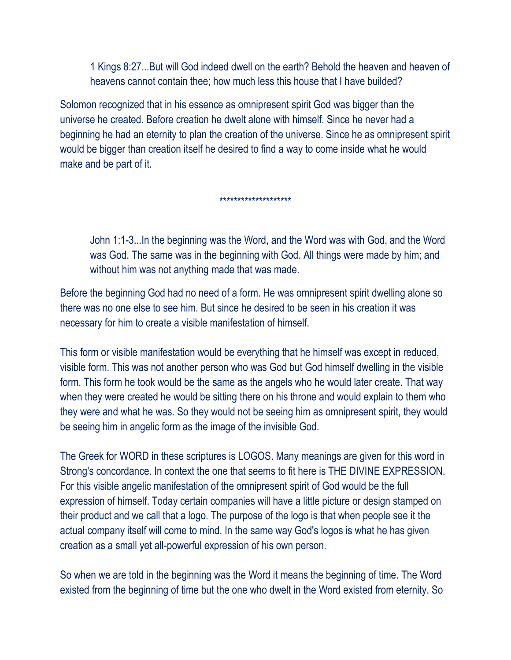1 Kings 8:27...But will God indeed dwell on the earth? Behold the heaven and heaven of heavens cannot contain thee; how much less this house that I have builded?

Solomon recognized that in his essence as omnipresent spirit God was bigger than the universe he created. Before creation he dwelt alone with himself. Since he never had a beginning he had an eternity to plan the creation of the universe. Since he as omnipresent spirit would be bigger than creation itself he desired to find a way to come inside what he would make and be part of it.

\*\*\*\*\*\*\*\*\*\*\*\*\*\*\*\*\*\*\*\*

John 1:1-3...In the beginning was the Word, and the Word was with God, and the Word was God. The same was in the beginning with God. All things were made by him; and without him was not anything made that was made.

Before the beginning God had no need of a form. He was omnipresent spirit dwelling alone so there was no one else to see him. But since he desired to be seen in his creation it was necessary for him to create a visible manifestation of himself.

This form or visible manifestation would be everything that he himself was except in reduced, visible form. This was not another person who was God but God himself dwelling in the visible form. This form he took would be the same as the angels who he would later create. That way when they were created he would be sitting there on his throne and would explain to them who they were and what he was. So they would not be seeing him as omnipresent spirit, they would be seeing him in angelic form as the image of the invisible God.

The Greek for WORD in these scriptures is LOGOS. Many meanings are given for this word in Strong's concordance. In context the one that seems to fit here is THE DIVINE EXPRESSION. For this visible angelic manifestation of the omnipresent spirit of God would be the full expression of himself. Today certain companies will have a little picture or design stamped on their product and we call that a logo. The purpose of the logo is that when people see it the actual company itself will come to mind. In the same way God's logos is what he has given creation as a small yet all-powerful expression of his own person.

So when we are told in the beginning was the Word it means the beginning of time. The Word existed from the beginning of time but the one who dwelt in the Word existed from eternity. So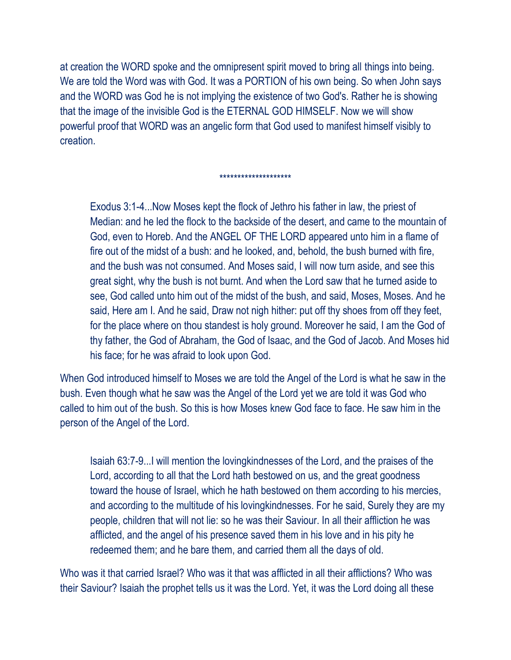at creation the WORD spoke and the omnipresent spirit moved to bring all things into being. We are told the Word was with God. It was a PORTION of his own being. So when John says and the WORD was God he is not implying the existence of two God's. Rather he is showing that the image of the invisible God is the ETERNAL GOD HIMSELF. Now we will show powerful proof that WORD was an angelic form that God used to manifest himself visibly to creation.

\*\*\*\*\*\*\*\*\*\*\*\*\*\*\*\*\*\*\*\*

Exodus 3:1-4...Now Moses kept the flock of Jethro his father in law, the priest of Median: and he led the flock to the backside of the desert, and came to the mountain of God, even to Horeb. And the ANGEL OF THE LORD appeared unto him in a flame of fire out of the midst of a bush: and he looked, and, behold, the bush burned with fire, and the bush was not consumed. And Moses said, I will now turn aside, and see this great sight, why the bush is not burnt. And when the Lord saw that he turned aside to see, God called unto him out of the midst of the bush, and said, Moses, Moses. And he said, Here am I. And he said, Draw not nigh hither: put off thy shoes from off they feet, for the place where on thou standest is holy ground. Moreover he said, I am the God of thy father, the God of Abraham, the God of Isaac, and the God of Jacob. And Moses hid his face; for he was afraid to look upon God.

When God introduced himself to Moses we are told the Angel of the Lord is what he saw in the bush. Even though what he saw was the Angel of the Lord yet we are told it was God who called to him out of the bush. So this is how Moses knew God face to face. He saw him in the person of the Angel of the Lord.

Isaiah 63:7-9...I will mention the lovingkindnesses of the Lord, and the praises of the Lord, according to all that the Lord hath bestowed on us, and the great goodness toward the house of Israel, which he hath bestowed on them according to his mercies, and according to the multitude of his lovingkindnesses. For he said, Surely they are my people, children that will not lie: so he was their Saviour. In all their affliction he was afflicted, and the angel of his presence saved them in his love and in his pity he redeemed them; and he bare them, and carried them all the days of old.

Who was it that carried Israel? Who was it that was afflicted in all their afflictions? Who was their Saviour? Isaiah the prophet tells us it was the Lord. Yet, it was the Lord doing all these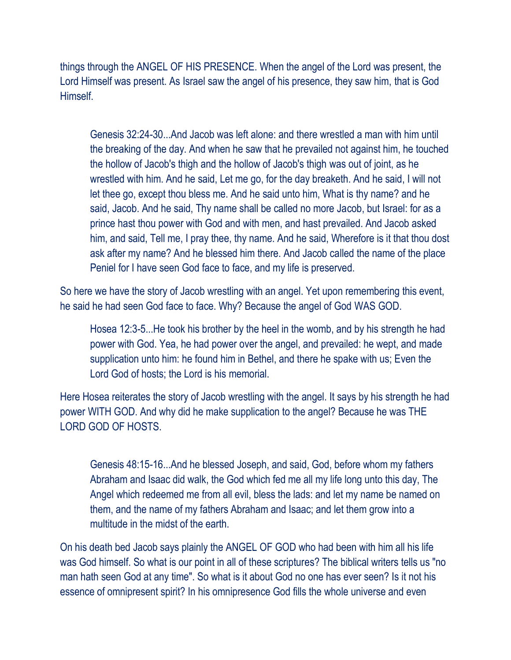things through the ANGEL OF HIS PRESENCE. When the angel of the Lord was present, the Lord Himself was present. As Israel saw the angel of his presence, they saw him, that is God Himself.

Genesis 32:24-30...And Jacob was left alone: and there wrestled a man with him until the breaking of the day. And when he saw that he prevailed not against him, he touched the hollow of Jacob's thigh and the hollow of Jacob's thigh was out of joint, as he wrestled with him. And he said, Let me go, for the day breaketh. And he said, I will not let thee go, except thou bless me. And he said unto him, What is thy name? and he said, Jacob. And he said, Thy name shall be called no more Jacob, but Israel: for as a prince hast thou power with God and with men, and hast prevailed. And Jacob asked him, and said, Tell me, I pray thee, thy name. And he said, Wherefore is it that thou dost ask after my name? And he blessed him there. And Jacob called the name of the place Peniel for I have seen God face to face, and my life is preserved.

So here we have the story of Jacob wrestling with an angel. Yet upon remembering this event, he said he had seen God face to face. Why? Because the angel of God WAS GOD.

Hosea 12:3-5...He took his brother by the heel in the womb, and by his strength he had power with God. Yea, he had power over the angel, and prevailed: he wept, and made supplication unto him: he found him in Bethel, and there he spake with us; Even the Lord God of hosts; the Lord is his memorial.

Here Hosea reiterates the story of Jacob wrestling with the angel. It says by his strength he had power WITH GOD. And why did he make supplication to the angel? Because he was THE LORD GOD OF HOSTS.

Genesis 48:15-16...And he blessed Joseph, and said, God, before whom my fathers Abraham and Isaac did walk, the God which fed me all my life long unto this day, The Angel which redeemed me from all evil, bless the lads: and let my name be named on them, and the name of my fathers Abraham and Isaac; and let them grow into a multitude in the midst of the earth.

On his death bed Jacob says plainly the ANGEL OF GOD who had been with him all his life was God himself. So what is our point in all of these scriptures? The biblical writers tells us "no man hath seen God at any time". So what is it about God no one has ever seen? Is it not his essence of omnipresent spirit? In his omnipresence God fills the whole universe and even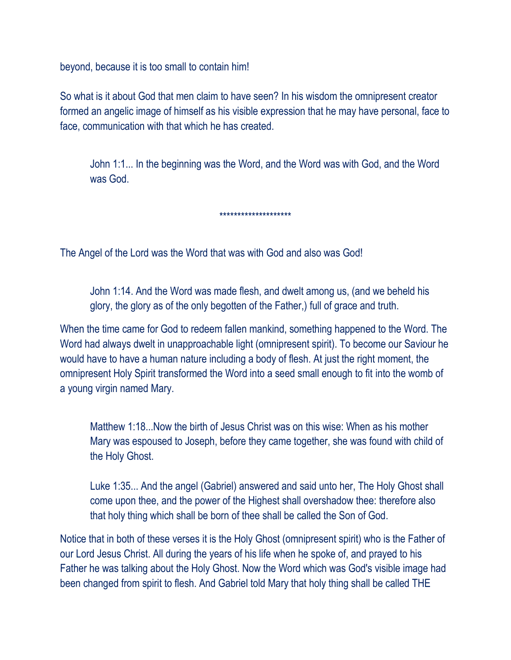beyond, because it is too small to contain him!

So what is it about God that men claim to have seen? In his wisdom the omnipresent creator formed an angelic image of himself as his visible expression that he may have personal, face to face, communication with that which he has created.

John 1:1... In the beginning was the Word, and the Word was with God, and the Word was God.

\*\*\*\*\*\*\*\*\*\*\*\*\*\*\*\*\*\*\*\*\*\*\*\*\*\*\*\*\*\*\*\*\*

The Angel of the Lord was the Word that was with God and also was God!

John 1:14. And the Word was made flesh, and dwelt among us, (and we beheld his glory, the glory as of the only begotten of the Father,) full of grace and truth.

When the time came for God to redeem fallen mankind, something happened to the Word. The Word had always dwelt in unapproachable light (omnipresent spirit). To become our Saviour he would have to have a human nature including a body of flesh. At just the right moment, the omnipresent Holy Spirit transformed the Word into a seed small enough to fit into the womb of a young virgin named Mary.

Matthew 1:18...Now the birth of Jesus Christ was on this wise: When as his mother Mary was espoused to Joseph, before they came together, she was found with child of the Holy Ghost.

Luke 1:35... And the angel (Gabriel) answered and said unto her, The Holy Ghost shall come upon thee, and the power of the Highest shall overshadow thee: therefore also that holy thing which shall be born of thee shall be called the Son of God.

Notice that in both of these verses it is the Holy Ghost (omnipresent spirit) who is the Father of our Lord Jesus Christ. All during the years of his life when he spoke of, and prayed to his Father he was talking about the Holy Ghost. Now the Word which was God's visible image had been changed from spirit to flesh. And Gabriel told Mary that holy thing shall be called THE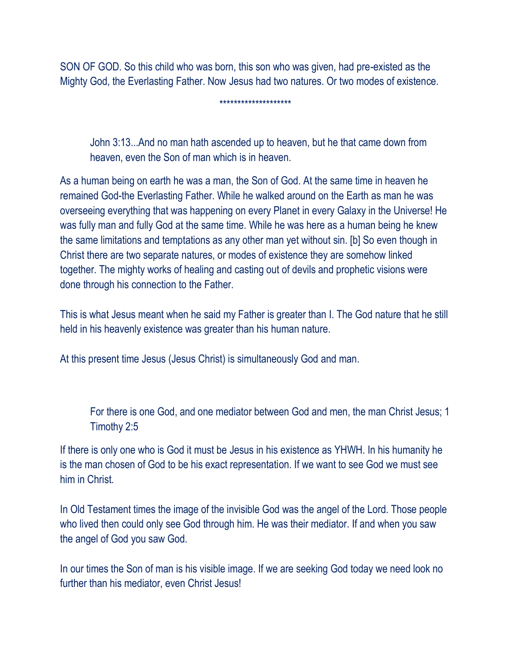SON OF GOD. So this child who was born, this son who was given, had pre-existed as the Mighty God, the Everlasting Father. Now Jesus had two natures. Or two modes of existence.

\*\*\*\*\*\*\*\*\*\*\*\*\*\*\*\*\*\*\*\*

### John 3:13...And no man hath ascended up to heaven, but he that came down from heaven, even the Son of man which is in heaven.

As a human being on earth he was a man, the Son of God. At the same time in heaven he remained God-the Everlasting Father. While he walked around on the Earth as man he was overseeing everything that was happening on every Planet in every Galaxy in the Universe! He was fully man and fully God at the same time. While he was here as a human being he knew the same limitations and temptations as any other man yet without sin. [b] So even though in Christ there are two separate natures, or modes of existence they are somehow linked together. The mighty works of healing and casting out of devils and prophetic visions were done through his connection to the Father.

This is what Jesus meant when he said my Father is greater than I. The God nature that he still held in his heavenly existence was greater than his human nature.

At this present time Jesus (Jesus Christ) is simultaneously God and man.

### For there is one God, and one mediator between God and men, the man Christ Jesus; 1 Timothy 2:5

If there is only one who is God it must be Jesus in his existence as YHWH. In his humanity he is the man chosen of God to be his exact representation. If we want to see God we must see him in Christ.

In Old Testament times the image of the invisible God was the angel of the Lord. Those people who lived then could only see God through him. He was their mediator. If and when you saw the angel of God you saw God.

In our times the Son of man is his visible image. If we are seeking God today we need look no further than his mediator, even Christ Jesus!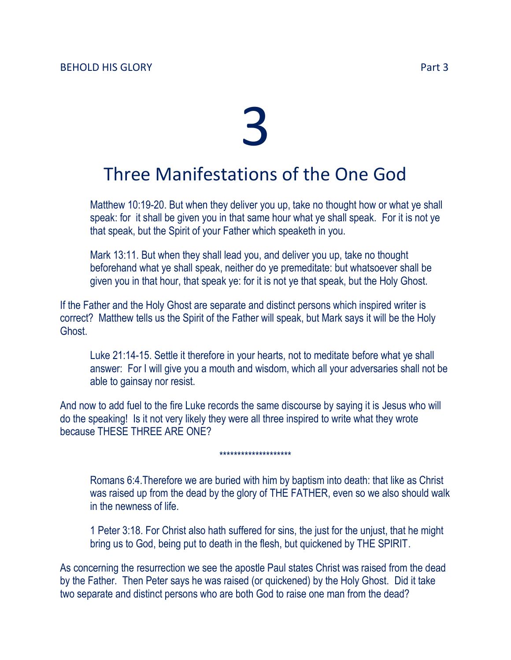# 3

## Three Manifestations of the One God

Matthew 10:19-20. But when they deliver you up, take no thought how or what ye shall speak: for it shall be given you in that same hour what ye shall speak. For it is not ye that speak, but the Spirit of your Father which speaketh in you.

Mark 13:11. But when they shall lead you, and deliver you up, take no thought beforehand what ye shall speak, neither do ye premeditate: but whatsoever shall be given you in that hour, that speak ye: for it is not ye that speak, but the Holy Ghost.

If the Father and the Holy Ghost are separate and distinct persons which inspired writer is correct? Matthew tells us the Spirit of the Father will speak, but Mark says it will be the Holy Ghost.

Luke 21:14-15. Settle it therefore in your hearts, not to meditate before what ye shall answer: For I will give you a mouth and wisdom, which all your adversaries shall not be able to gainsay nor resist.

And now to add fuel to the fire Luke records the same discourse by saying it is Jesus who will do the speaking! Is it not very likely they were all three inspired to write what they wrote because THESE THREE ARE ONE?

### \*\*\*\*\*\*\*\*\*\*\*\*\*\*\*\*\*\*\*\*

Romans 6:4.Therefore we are buried with him by baptism into death: that like as Christ was raised up from the dead by the glory of THE FATHER, even so we also should walk in the newness of life.

1 Peter 3:18. For Christ also hath suffered for sins, the just for the unjust, that he might bring us to God, being put to death in the flesh, but quickened by THE SPIRIT.

As concerning the resurrection we see the apostle Paul states Christ was raised from the dead by the Father. Then Peter says he was raised (or quickened) by the Holy Ghost. Did it take two separate and distinct persons who are both God to raise one man from the dead?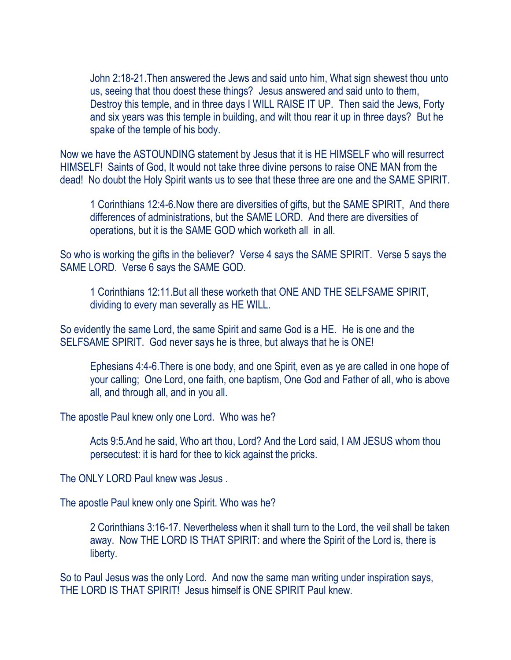John 2:18-21.Then answered the Jews and said unto him, What sign shewest thou unto us, seeing that thou doest these things? Jesus answered and said unto to them, Destroy this temple, and in three days I WILL RAISE IT UP. Then said the Jews, Forty and six years was this temple in building, and wilt thou rear it up in three days? But he spake of the temple of his body.

Now we have the ASTOUNDING statement by Jesus that it is HE HIMSELF who will resurrect HIMSELF! Saints of God, It would not take three divine persons to raise ONE MAN from the dead! No doubt the Holy Spirit wants us to see that these three are one and the SAME SPIRIT.

1 Corinthians 12:4-6.Now there are diversities of gifts, but the SAME SPIRIT, And there differences of administrations, but the SAME LORD. And there are diversities of operations, but it is the SAME GOD which worketh all in all.

So who is working the gifts in the believer? Verse 4 says the SAME SPIRIT. Verse 5 says the SAME LORD. Verse 6 says the SAME GOD.

1 Corinthians 12:11.But all these worketh that ONE AND THE SELFSAME SPIRIT, dividing to every man severally as HE WILL.

So evidently the same Lord, the same Spirit and same God is a HE. He is one and the SELFSAME SPIRIT. God never says he is three, but always that he is ONE!

Ephesians 4:4-6.There is one body, and one Spirit, even as ye are called in one hope of your calling; One Lord, one faith, one baptism, One God and Father of all, who is above all, and through all, and in you all.

The apostle Paul knew only one Lord. Who was he?

Acts 9:5.And he said, Who art thou, Lord? And the Lord said, I AM JESUS whom thou persecutest: it is hard for thee to kick against the pricks.

The ONLY LORD Paul knew was Jesus .

The apostle Paul knew only one Spirit. Who was he?

2 Corinthians 3:16-17. Nevertheless when it shall turn to the Lord, the veil shall be taken away. Now THE LORD IS THAT SPIRIT: and where the Spirit of the Lord is, there is liberty.

So to Paul Jesus was the only Lord. And now the same man writing under inspiration says, THE LORD IS THAT SPIRIT! Jesus himself is ONE SPIRIT Paul knew.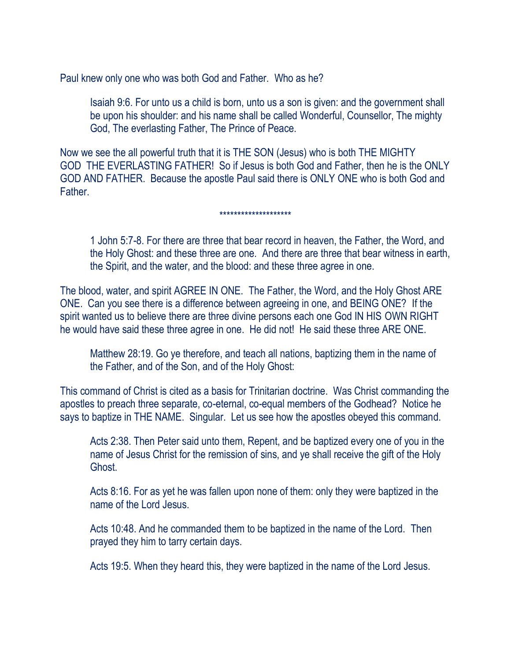Paul knew only one who was both God and Father. Who as he?

Isaiah 9:6. For unto us a child is born, unto us a son is given: and the government shall be upon his shoulder: and his name shall be called Wonderful, Counsellor, The mighty God, The everlasting Father, The Prince of Peace.

Now we see the all powerful truth that it is THE SON (Jesus) who is both THE MIGHTY GOD THE EVERLASTING FATHER! So if Jesus is both God and Father, then he is the ONLY GOD AND FATHER. Because the apostle Paul said there is ONLY ONE who is both God and Father.

### \*\*\*\*\*\*\*\*\*\*\*\*\*\*\*\*\*\*\*\*

1 John 5:7-8. For there are three that bear record in heaven, the Father, the Word, and the Holy Ghost: and these three are one. And there are three that bear witness in earth, the Spirit, and the water, and the blood: and these three agree in one.

The blood, water, and spirit AGREE IN ONE. The Father, the Word, and the Holy Ghost ARE ONE. Can you see there is a difference between agreeing in one, and BEING ONE? If the spirit wanted us to believe there are three divine persons each one God IN HIS OWN RIGHT he would have said these three agree in one. He did not! He said these three ARE ONE.

Matthew 28:19. Go ye therefore, and teach all nations, baptizing them in the name of the Father, and of the Son, and of the Holy Ghost:

This command of Christ is cited as a basis for Trinitarian doctrine. Was Christ commanding the apostles to preach three separate, co-eternal, co-equal members of the Godhead? Notice he says to baptize in THE NAME. Singular. Let us see how the apostles obeyed this command.

Acts 2:38. Then Peter said unto them, Repent, and be baptized every one of you in the name of Jesus Christ for the remission of sins, and ye shall receive the gift of the Holy Ghost.

Acts 8:16. For as yet he was fallen upon none of them: only they were baptized in the name of the Lord Jesus.

Acts 10:48. And he commanded them to be baptized in the name of the Lord. Then prayed they him to tarry certain days.

Acts 19:5. When they heard this, they were baptized in the name of the Lord Jesus.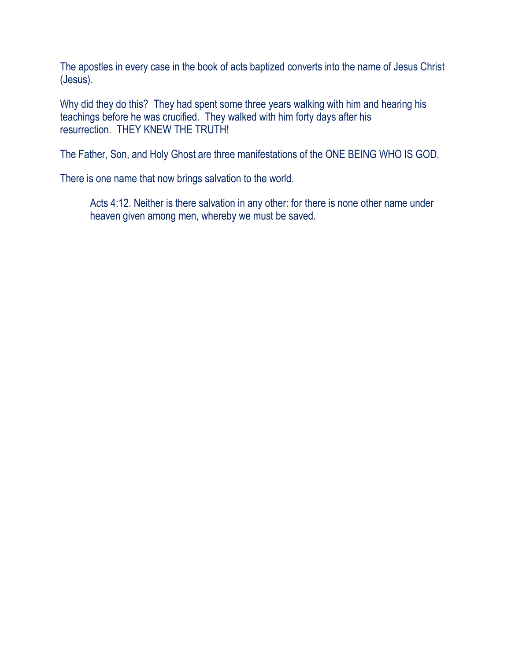The apostles in every case in the book of acts baptized converts into the name of Jesus Christ (Jesus).

Why did they do this? They had spent some three years walking with him and hearing his teachings before he was crucified. They walked with him forty days after his resurrection. THEY KNEW THE TRUTH!

The Father, Son, and Holy Ghost are three manifestations of the ONE BEING WHO IS GOD.

There is one name that now brings salvation to the world.

Acts 4:12. Neither is there salvation in any other: for there is none other name under heaven given among men, whereby we must be saved.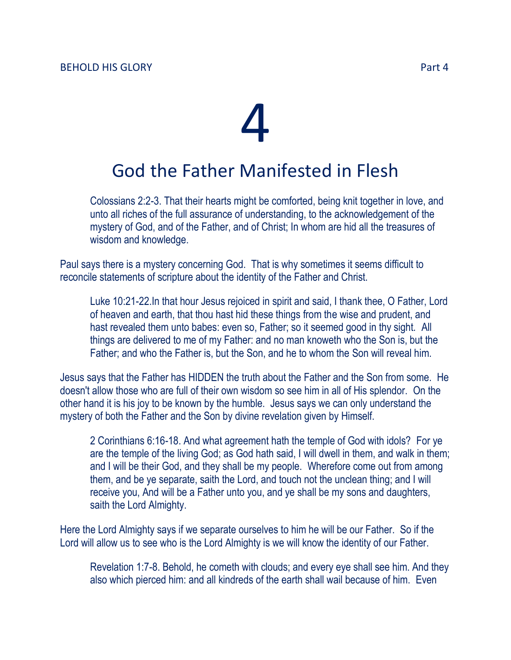# 4

## God the Father Manifested in Flesh

Colossians 2:2-3. That their hearts might be comforted, being knit together in love, and unto all riches of the full assurance of understanding, to the acknowledgement of the mystery of God, and of the Father, and of Christ; In whom are hid all the treasures of wisdom and knowledge.

Paul says there is a mystery concerning God. That is why sometimes it seems difficult to reconcile statements of scripture about the identity of the Father and Christ.

Luke 10:21-22.In that hour Jesus rejoiced in spirit and said, I thank thee, O Father, Lord of heaven and earth, that thou hast hid these things from the wise and prudent, and hast revealed them unto babes: even so, Father; so it seemed good in thy sight. All things are delivered to me of my Father: and no man knoweth who the Son is, but the Father; and who the Father is, but the Son, and he to whom the Son will reveal him.

Jesus says that the Father has HIDDEN the truth about the Father and the Son from some. He doesn't allow those who are full of their own wisdom so see him in all of His splendor. On the other hand it is his joy to be known by the humble. Jesus says we can only understand the mystery of both the Father and the Son by divine revelation given by Himself.

2 Corinthians 6:16-18. And what agreement hath the temple of God with idols? For ye are the temple of the living God; as God hath said, I will dwell in them, and walk in them; and I will be their God, and they shall be my people. Wherefore come out from among them, and be ye separate, saith the Lord, and touch not the unclean thing; and I will receive you, And will be a Father unto you, and ye shall be my sons and daughters, saith the Lord Almighty.

Here the Lord Almighty says if we separate ourselves to him he will be our Father. So if the Lord will allow us to see who is the Lord Almighty is we will know the identity of our Father.

Revelation 1:7-8. Behold, he cometh with clouds; and every eye shall see him. And they also which pierced him: and all kindreds of the earth shall wail because of him. Even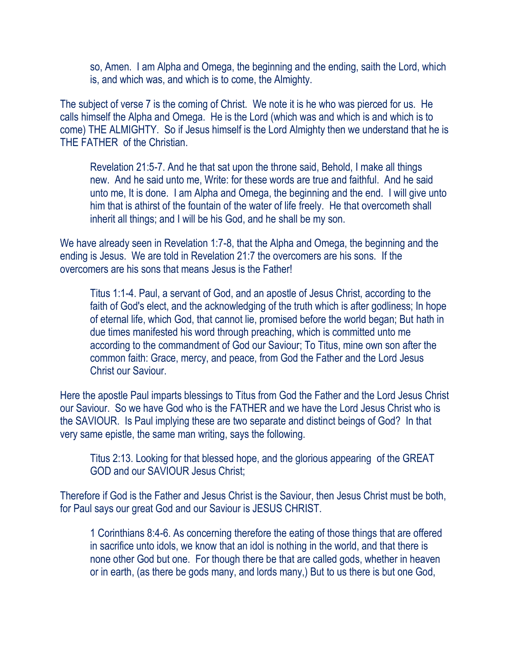so, Amen. I am Alpha and Omega, the beginning and the ending, saith the Lord, which is, and which was, and which is to come, the Almighty.

The subject of verse 7 is the coming of Christ. We note it is he who was pierced for us. He calls himself the Alpha and Omega. He is the Lord (which was and which is and which is to come) THE ALMIGHTY. So if Jesus himself is the Lord Almighty then we understand that he is THE FATHER of the Christian.

Revelation 21:5-7. And he that sat upon the throne said, Behold, I make all things new. And he said unto me, Write: for these words are true and faithful. And he said unto me, It is done. I am Alpha and Omega, the beginning and the end. I will give unto him that is athirst of the fountain of the water of life freely. He that overcometh shall inherit all things; and I will be his God, and he shall be my son.

We have already seen in Revelation 1:7-8, that the Alpha and Omega, the beginning and the ending is Jesus. We are told in Revelation 21:7 the overcomers are his sons. If the overcomers are his sons that means Jesus is the Father!

Titus 1:1-4. Paul, a servant of God, and an apostle of Jesus Christ, according to the faith of God's elect, and the acknowledging of the truth which is after godliness; In hope of eternal life, which God, that cannot lie, promised before the world began; But hath in due times manifested his word through preaching, which is committed unto me according to the commandment of God our Saviour; To Titus, mine own son after the common faith: Grace, mercy, and peace, from God the Father and the Lord Jesus Christ our Saviour.

Here the apostle Paul imparts blessings to Titus from God the Father and the Lord Jesus Christ our Saviour. So we have God who is the FATHER and we have the Lord Jesus Christ who is the SAVIOUR. Is Paul implying these are two separate and distinct beings of God? In that very same epistle, the same man writing, says the following.

Titus 2:13. Looking for that blessed hope, and the glorious appearing of the GREAT GOD and our SAVIOUR Jesus Christ;

Therefore if God is the Father and Jesus Christ is the Saviour, then Jesus Christ must be both, for Paul says our great God and our Saviour is JESUS CHRIST.

1 Corinthians 8:4-6. As concerning therefore the eating of those things that are offered in sacrifice unto idols, we know that an idol is nothing in the world, and that there is none other God but one. For though there be that are called gods, whether in heaven or in earth, (as there be gods many, and lords many,) But to us there is but one God,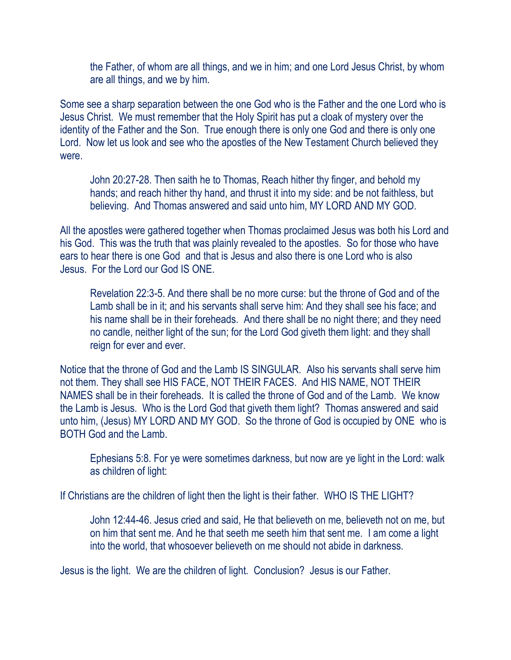the Father, of whom are all things, and we in him; and one Lord Jesus Christ, by whom are all things, and we by him.

Some see a sharp separation between the one God who is the Father and the one Lord who is Jesus Christ. We must remember that the Holy Spirit has put a cloak of mystery over the identity of the Father and the Son. True enough there is only one God and there is only one Lord. Now let us look and see who the apostles of the New Testament Church believed they were.

John 20:27-28. Then saith he to Thomas, Reach hither thy finger, and behold my hands; and reach hither thy hand, and thrust it into my side: and be not faithless, but believing. And Thomas answered and said unto him, MY LORD AND MY GOD.

All the apostles were gathered together when Thomas proclaimed Jesus was both his Lord and his God. This was the truth that was plainly revealed to the apostles. So for those who have ears to hear there is one God and that is Jesus and also there is one Lord who is also Jesus. For the Lord our God IS ONE.

Revelation 22:3-5. And there shall be no more curse: but the throne of God and of the Lamb shall be in it; and his servants shall serve him: And they shall see his face; and his name shall be in their foreheads. And there shall be no night there; and they need no candle, neither light of the sun; for the Lord God giveth them light: and they shall reign for ever and ever.

Notice that the throne of God and the Lamb IS SINGULAR. Also his servants shall serve him not them. They shall see HIS FACE, NOT THEIR FACES. And HIS NAME, NOT THEIR NAMES shall be in their foreheads. It is called the throne of God and of the Lamb. We know the Lamb is Jesus. Who is the Lord God that giveth them light? Thomas answered and said unto him, (Jesus) MY LORD AND MY GOD. So the throne of God is occupied by ONE who is BOTH God and the Lamb.

Ephesians 5:8. For ye were sometimes darkness, but now are ye light in the Lord: walk as children of light:

If Christians are the children of light then the light is their father. WHO IS THE LIGHT?

John 12:44-46. Jesus cried and said, He that believeth on me, believeth not on me, but on him that sent me. And he that seeth me seeth him that sent me. I am come a light into the world, that whosoever believeth on me should not abide in darkness.

Jesus is the light. We are the children of light. Conclusion? Jesus is our Father.